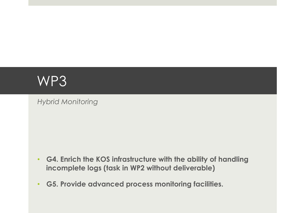# WP3

*Hybrid Monitoring* 

- **G4. Enrich the KOS infrastructure with the ability of handling incomplete logs (task in WP2 without deliverable)**
- **G5. Provide advanced process monitoring facilities.**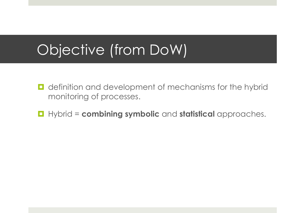# Objective (from DoW)

- definition and development of mechanisms for the hybrid monitoring of processes.
- ¤ Hybrid = **combining symbolic** and **statistical** approaches.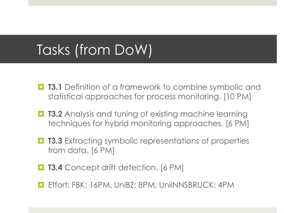# Tasks (from DoW)

- **T3.1** Definition of a framework to combine symbolic and statistical approaches for process monitoring. [10 PM]
- $\blacksquare$  **T3.2** Analysis and tuning of existing machine learning techniques for hybrid monitoring approaches. [6 PM]
- **□ T3.3** Extracting symbolic representations of properties from data. [6 PM]
- $\blacksquare$  **T3.4** Concept drift detection. [6 PM]
- Effort: FBK: 16PM, UniBZ: 8PM, UniINNSBRUCK: 4PM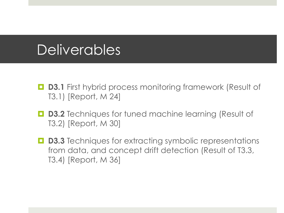## **Deliverables**

- **D3.1** First hybrid process monitoring framework (Result of T3.1) [Report, M 24]
- **D3.2** Techniques for tuned machine learning (Result of T3.2) [Report, M 30]
- **D3.3** Techniques for extracting symbolic representations from data, and concept drift detection (Result of T3.3, T3.4) [Report, M 36]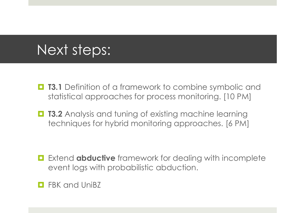- **T3.1** Definition of a framework to combine symbolic and statistical approaches for process monitoring. [10 PM]
- $\blacksquare$  **T3.2** Analysis and tuning of existing machine learning techniques for hybrid monitoring approaches. [6 PM]

- $\blacksquare$  Extend **abductive** framework for dealing with incomplete event logs with probabilistic abduction.
- FBK and UniBZ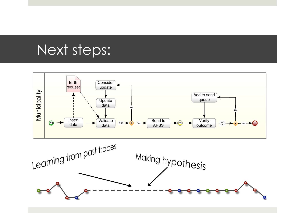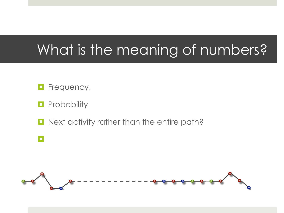## What is the meaning of numbers?

- $\blacksquare$  Frequency,
- $\blacksquare$  Probability
- $\Box$  Next activity rather than the entire path?
- ¤

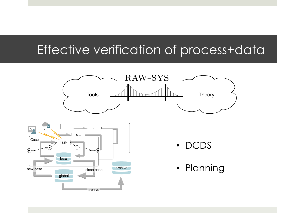### Effective verification of process+data

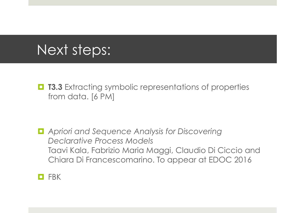**□ T3.3** Extracting symbolic representations of properties from data. [6 PM]

■ *Apriori and Sequence Analysis for Discovering Declarative Process Models*  Taavi Kala, Fabrizio Maria Maggi, Claudio Di Ciccio and Chiara Di Francescomarino. To appear at EDOC 2016

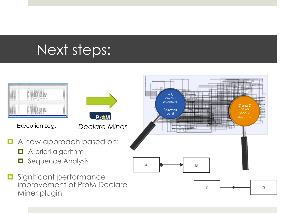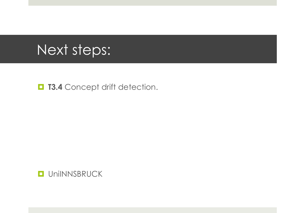**D** T3.4 Concept drift detection.

**O** UniINNSBRUCK